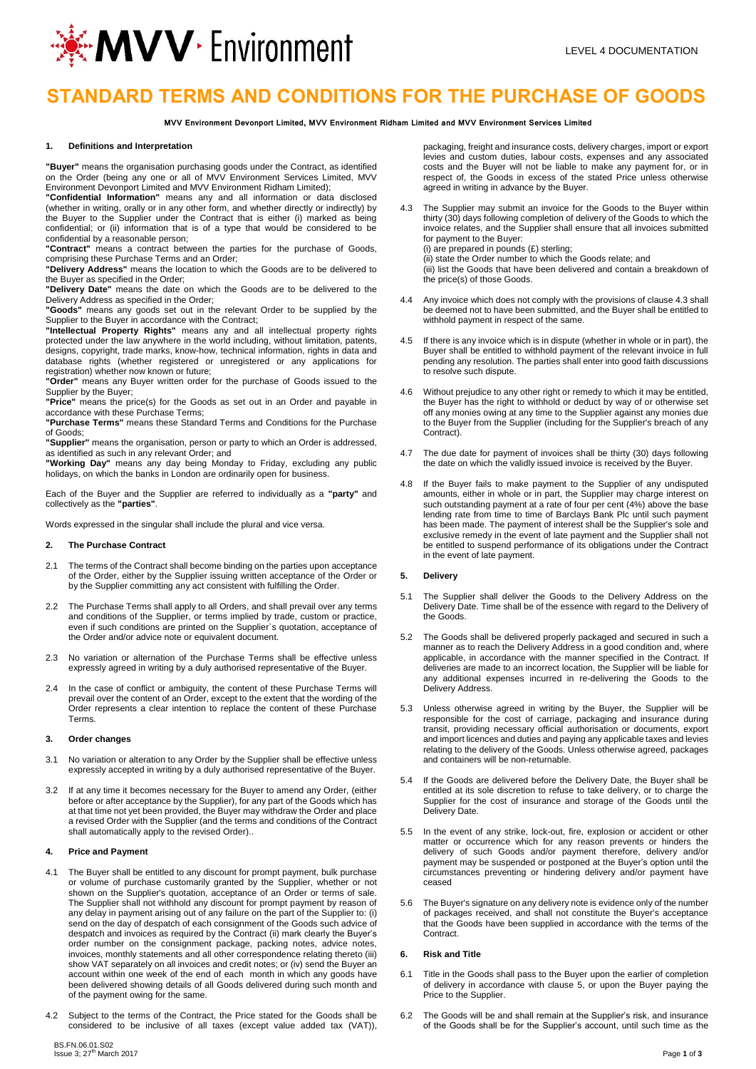

# **STANDARD TERMS AND CONDITIONS FOR THE PURCHASE OF GOODS**

**MVV Environment Devonport Limited, MVV Environment Ridham Limited and MVV Environment Services Limited**

## **1. Definitions and Interpretation**

**"Buyer"** means the organisation purchasing goods under the Contract, as identified on the Order (being any one or all of MVV Environment Services Limited, MVV

Environment Devonport Limited and MVV Environment Ridham Limited); **"Confidential Information"** means any and all information or data disclosed (whether in writing, orally or in any other form, and whether directly or indirectly) by the Buyer to the Supplier under the Contract that is either (i) marked as being confidential; or (ii) information that is of a type that would be considered to be

confidential by a reasonable person; **"Contract"** means a contract between the parties for the purchase of Goods, comprising these Purchase Terms and an Order;

**"Delivery Address"** means the location to which the Goods are to be delivered to the Buyer as specified in the Order;

**"Delivery Date"** means the date on which the Goods are to be delivered to the Delivery Address as specified in the Order;

**"Goods"** means any goods set out in the relevant Order to be supplied by the Supplier to the Buyer in accordance with the Contract;

**"Intellectual Property Rights"** means any and all intellectual property rights protected under the law anywhere in the world including, without limitation, patents, designs, copyright, trade marks, know-how, technical information, rights in data and database rights (whether registered or unregistered or any applications for

registration) whether now known or future; **"Order"** means any Buyer written order for the purchase of Goods issued to the Supplier by the Buyer;

**"Price"** means the price(s) for the Goods as set out in an Order and payable in accordance with these Purchase Terms;

**"Purchase Terms"** means these Standard Terms and Conditions for the Purchase of Goods;

**"Supplier"** means the organisation, person or party to which an Order is addressed, as identified as such in any relevant Order; and

**"Working Day"** means any day being Monday to Friday, excluding any public holidays, on which the banks in London are ordinarily open for business.

Each of the Buyer and the Supplier are referred to individually as a **"party"** and collectively as the **"parties"**.

Words expressed in the singular shall include the plural and vice versa.

#### **2. The Purchase Contract**

- 2.1 The terms of the Contract shall become binding on the parties upon acceptance of the Order, either by the Supplier issuing written acceptance of the Order or by the Supplier committing any act consistent with fulfilling the Order.
- 2.2 The Purchase Terms shall apply to all Orders, and shall prevail over any terms and conditions of the Supplier, or terms implied by trade, custom or practice, even if such conditions are printed on the Supplier`s quotation, acceptance of the Order and/or advice note or equivalent document.
- 2.3 No variation or alternation of the Purchase Terms shall be effective unless expressly agreed in writing by a duly authorised representative of the Buyer.
- 2.4 In the case of conflict or ambiguity, the content of these Purchase Terms will prevail over the content of an Order, except to the extent that the wording of the Order represents a clear intention to replace the content of these Purchase Terms.

#### **3. Order changes**

- 3.1 No variation or alteration to any Order by the Supplier shall be effective unless expressly accepted in writing by a duly authorised representative of the Buyer.
- 3.2 If at any time it becomes necessary for the Buyer to amend any Order, (either before or after acceptance by the Supplier), for any part of the Goods which has at that time not yet been provided, the Buyer may withdraw the Order and place a revised Order with the Supplier (and the terms and conditions of the Contract shall automatically apply to the revised Order)..

## **4. Price and Payment**

- 4.1 The Buyer shall be entitled to any discount for prompt payment, bulk purchase or volume of purchase customarily granted by the Supplier, whether or not shown on the Supplier's quotation, acceptance of an Order or terms of sale. The Supplier shall not withhold any discount for prompt payment by reason of any delay in payment arising out of any failure on the part of the Supplier to: (i) send on the day of despatch of each consignment of the Goods such advice of despatch and invoices as required by the Contract (ii) mark clearly the Buyer's order number on the consignment package, packing notes, advice notes, invoices, monthly statements and all other correspondence relating thereto (iii) show VAT separately on all invoices and credit notes; or (iv) send the Buyer an account within one week of the end of each month in which any goods have been delivered showing details of all Goods delivered during such month and of the payment owing for the same.
- 4.2 Subject to the terms of the Contract, the Price stated for the Goods shall be considered to be inclusive of all taxes (except value added tax (VAT)),

packaging, freight and insurance costs, delivery charges, import or export levies and custom duties, labour costs, expenses and any associated costs and the Buyer will not be liable to make any payment for, or in respect of, the Goods in excess of the stated Price unless otherwise agreed in writing in advance by the Buyer.

4.3 The Supplier may submit an invoice for the Goods to the Buyer within thirty (30) days following completion of delivery of the Goods to which the invoice relates, and the Supplier shall ensure that all invoices submitted for payment to the Buyer:

(i) are prepared in pounds (£) sterling; (ii) state the Order number to which the Goods relate; and

(iii) list the Goods that have been delivered and contain a breakdown of the price(s) of those Goods.

- 4.4 Any invoice which does not comply with the provisions of clause 4.3 shall be deemed not to have been submitted, and the Buyer shall be entitled to withhold payment in respect of the same.
- If there is any invoice which is in dispute (whether in whole or in part), the Buyer shall be entitled to withhold payment of the relevant invoice in full pending any resolution. The parties shall enter into good faith discussions to resolve such dispute.
- 4.6 Without prejudice to any other right or remedy to which it may be entitled, the Buyer has the right to withhold or deduct by way of or otherwise set off any monies owing at any time to the Supplier against any monies due to the Buyer from the Supplier (including for the Supplier's breach of any Contract).
- 4.7 The due date for payment of invoices shall be thirty (30) days following the date on which the validly issued invoice is received by the Buyer.
- If the Buyer fails to make payment to the Supplier of any undisputed amounts, either in whole or in part, the Supplier may charge interest on such outstanding payment at a rate of four per cent (4%) above the base lending rate from time to time of Barclays Bank Plc until such payment has been made. The payment of interest shall be the Supplier's sole and exclusive remedy in the event of late payment and the Supplier shall not be entitled to suspend performance of its obligations under the Contract in the event of late payment.

### **5. Delivery**

- 5.1 The Supplier shall deliver the Goods to the Delivery Address on the Delivery Date. Time shall be of the essence with regard to the Delivery of the Goods.
- 5.2 The Goods shall be delivered properly packaged and secured in such a manner as to reach the Delivery Address in a good condition and, where applicable, in accordance with the manner specified in the Contract. If deliveries are made to an incorrect location, the Supplier will be liable for any additional expenses incurred in re-delivering the Goods to the Delivery Address.
- 5.3 Unless otherwise agreed in writing by the Buyer, the Supplier will be responsible for the cost of carriage, packaging and insurance during transit, providing necessary official authorisation or documents, export and import licences and duties and paying any applicable taxes and levies relating to the delivery of the Goods. Unless otherwise agreed, packages and containers will be non-returnable.
- 5.4 If the Goods are delivered before the Delivery Date, the Buyer shall be entitled at its sole discretion to refuse to take delivery, or to charge the Supplier for the cost of insurance and storage of the Goods until the Delivery Date.
- 5.5 In the event of any strike, lock-out, fire, explosion or accident or other matter or occurrence which for any reason prevents or hinders the delivery of such Goods and/or payment therefore, delivery and/or payment may be suspended or postponed at the Buyer's option until the circumstances preventing or hindering delivery and/or payment have ceased
- 5.6 The Buyer's signature on any delivery note is evidence only of the number of packages received, and shall not constitute the Buyer's acceptance that the Goods have been supplied in accordance with the terms of the **Contract**

#### **6. Risk and Title**

- 6.1 Title in the Goods shall pass to the Buyer upon the earlier of completion of delivery in accordance with clause 5, or upon the Buyer paying the Price to the Supplier.
- The Goods will be and shall remain at the Supplier's risk, and insurance of the Goods shall be for the Supplier's account, until such time as the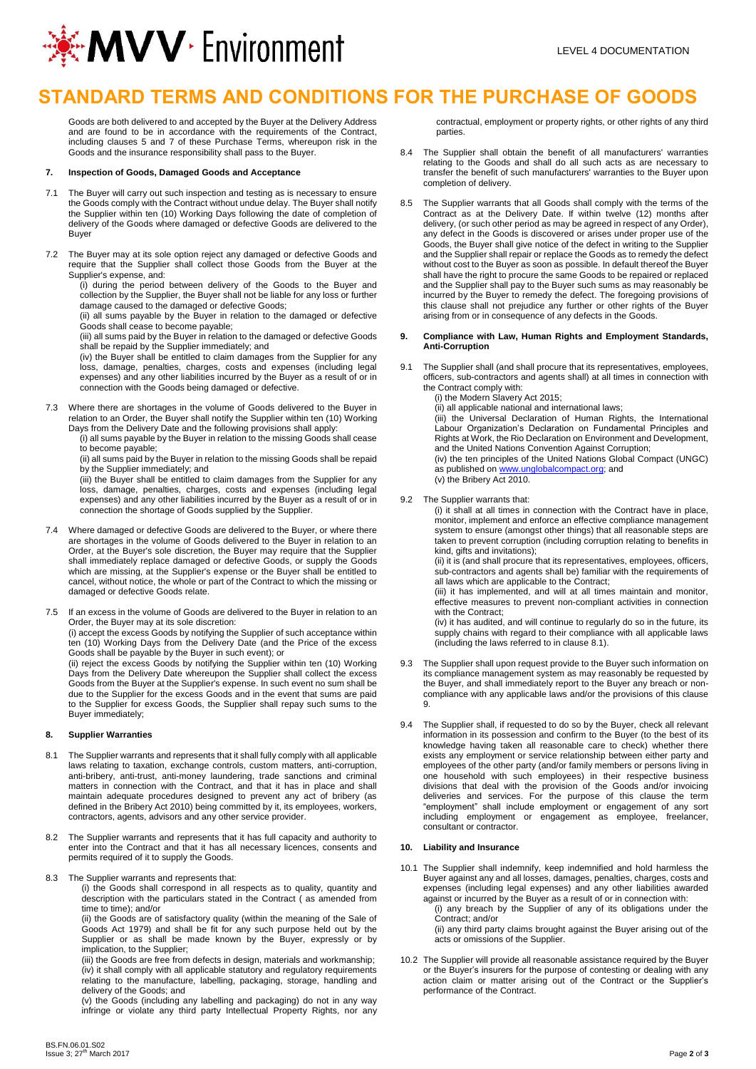

# **STANDARD TERMS AND CONDITIONS FOR THE PURCHASE OF GOODS**

Goods are both delivered to and accepted by the Buyer at the Delivery Address and are found to be in accordance with the requirements of the Contract, including clauses 5 and 7 of these Purchase Terms, whereupon risk in the Goods and the insurance responsibility shall pass to the Buyer.

#### **7. Inspection of Goods, Damaged Goods and Acceptance**

- 7.1 The Buyer will carry out such inspection and testing as is necessary to ensure the Goods comply with the Contract without undue delay. The Buyer shall notify the Supplier within ten (10) Working Days following the date of completion of delivery of the Goods where damaged or defective Goods are delivered to the Buyer
- 7.2 The Buyer may at its sole option reject any damaged or defective Goods and require that the Supplier shall collect those Goods from the Buyer at the Supplier's expense, and:

(i) during the period between delivery of the Goods to the Buyer and collection by the Supplier, the Buyer shall not be liable for any loss or further damage caused to the damaged or defective Goods;

(ii) all sums payable by the Buyer in relation to the damaged or defective Goods shall cease to become payable;

(iii) all sums paid by the Buyer in relation to the damaged or defective Goods shall be repaid by the Supplier immediately; and

(iv) the Buyer shall be entitled to claim damages from the Supplier for any loss, damage, penalties, charges, costs and expenses (including legal expenses) and any other liabilities incurred by the Buyer as a result of or in connection with the Goods being damaged or defective.

7.3 Where there are shortages in the volume of Goods delivered to the Buyer in relation to an Order, the Buyer shall notify the Supplier within ten (10) Working Days from the Delivery Date and the following provisions shall apply:

(i) all sums payable by the Buyer in relation to the missing Goods shall cease to become payable;

(ii) all sums paid by the Buyer in relation to the missing Goods shall be repaid by the Supplier immediately; and

(iii) the Buyer shall be entitled to claim damages from the Supplier for any loss, damage, penalties, charges, costs and expenses (including legal expenses) and any other liabilities incurred by the Buyer as a result of or in connection the shortage of Goods supplied by the Supplier.

7.4 Where damaged or defective Goods are delivered to the Buyer, or where there are shortages in the volume of Goods delivered to the Buyer in relation to an Order, at the Buyer's sole discretion, the Buyer may require that the Supplier shall immediately replace damaged or defective Goods, or supply the Goods which are missing, at the Supplier's expense or the Buyer shall be entitled to cancel, without notice, the whole or part of the Contract to which the missing or damaged or defective Goods relate.

7.5 If an excess in the volume of Goods are delivered to the Buyer in relation to an Order, the Buyer may at its sole discretion: (i) accept the excess Goods by notifying the Supplier of such acceptance within ten (10) Working Days from the Delivery Date (and the Price of the excess

Goods shall be payable by the Buyer in such event); or (ii) reject the excess Goods by notifying the Supplier within ten (10) Working Days from the Delivery Date whereupon the Supplier shall collect the excess Goods from the Buyer at the Supplier's expense. In such event no sum shall be due to the Supplier for the excess Goods and in the event that sums are paid to the Supplier for excess Goods, the Supplier shall repay such sums to the Buyer immediately;

## **8. Supplier Warranties**

- 8.1 The Supplier warrants and represents that it shall fully comply with all applicable laws relating to taxation, exchange controls, custom matters, anti-corruption, anti-bribery, anti-trust, anti-money laundering, trade sanctions and criminal matters in connection with the Contract, and that it has in place and shall maintain adequate procedures designed to prevent any act of bribery (as defined in the Bribery Act 2010) being committed by it, its employees, workers, contractors, agents, advisors and any other service provider.
- 8.2 The Supplier warrants and represents that it has full capacity and authority to enter into the Contract and that it has all necessary licences, consents and permits required of it to supply the Goods.
- 8.3 The Supplier warrants and represents that:

(i) the Goods shall correspond in all respects as to quality, quantity and description with the particulars stated in the Contract ( as amended from time to time); and/or

(ii) the Goods are of satisfactory quality (within the meaning of the Sale of Goods Act 1979) and shall be fit for any such purpose held out by the Supplier or as shall be made known by the Buyer, expressly or by implication, to the Supplier;

(iii) the Goods are free from defects in design, materials and workmanship; (iv) it shall comply with all applicable statutory and regulatory requirements relating to the manufacture, labelling, packaging, storage, handling and delivery of the Goods; and

(v) the Goods (including any labelling and packaging) do not in any way infringe or violate any third party Intellectual Property Rights, nor any contractual, employment or property rights, or other rights of any third parties

- 8.4 The Supplier shall obtain the benefit of all manufacturers' warranties relating to the Goods and shall do all such acts as are necessary to transfer the benefit of such manufacturers' warranties to the Buyer upon completion of delivery.
- 8.5 The Supplier warrants that all Goods shall comply with the terms of the Contract as at the Delivery Date. If within twelve (12) months after delivery, (or such other period as may be agreed in respect of any Order), any defect in the Goods is discovered or arises under proper use of the Goods, the Buyer shall give notice of the defect in writing to the Supplier and the Supplier shall repair or replace the Goods as to remedy the defect without cost to the Buyer as soon as possible. In default thereof the Buyer shall have the right to procure the same Goods to be repaired or replaced and the Supplier shall pay to the Buyer such sums as may reasonably be incurred by the Buyer to remedy the defect. The foregoing provisions of this clause shall not prejudice any further or other rights of the Buyer arising from or in consequence of any defects in the Goods.

### **9. Compliance with Law, Human Rights and Employment Standards, Anti-Corruption**

- 9.1 The Supplier shall (and shall procure that its representatives, employees, officers, sub-contractors and agents shall) at all times in connection with the Contract comply with:
	- (i) the Modern Slavery Act 2015;

(ii) all applicable national and international laws; (iii) the Universal Declaration of Human Rights, the International Labour Organization's Declaration on Fundamental Principles and Rights at Work, the Rio Declaration on Environment and Development, and the United Nations Convention Against Corruption; (iv) the ten principles of the United Nations Global Compact (UNGC) as published o[n www.unglobalcompact.org;](http://www.unglobalcompact.org/) and

(v) the Bribery Act 2010.

9.2 The Supplier warrants that:

(i) it shall at all times in connection with the Contract have in place, monitor, implement and enforce an effective compliance management system to ensure (amongst other things) that all reasonable steps are taken to prevent corruption (including corruption relating to benefits in kind, gifts and invitations);

(ii) it is (and shall procure that its representatives, employees, officers, sub-contractors and agents shall be) familiar with the requirements of all laws which are applicable to the Contract;

(iii) it has implemented, and will at all times maintain and monitor, effective measures to prevent non-compliant activities in connection with the Contract;

(iv) it has audited, and will continue to regularly do so in the future, its supply chains with regard to their compliance with all applicable laws (including the laws referred to in clause 8.1).

- The Supplier shall upon request provide to the Buyer such information on its compliance management system as may reasonably be requested by the Buyer, and shall immediately report to the Buyer any breach or noncompliance with any applicable laws and/or the provisions of this clause 9.
- 9.4 The Supplier shall, if requested to do so by the Buyer, check all relevant information in its possession and confirm to the Buyer (to the best of its knowledge having taken all reasonable care to check) whether there exists any employment or service relationship between either party and employees of the other party (and/or family members or persons living in one household with such employees) in their respective business divisions that deal with the provision of the Goods and/or invoicing deliveries and services. For the purpose of this clause the term "employment" shall include employment or engagement of any sort including employment or engagement as employee, freelancer, consultant or contractor.

## **10. Liability and Insurance**

- 10.1 The Supplier shall indemnify, keep indemnified and hold harmless the Buyer against any and all losses, damages, penalties, charges, costs and expenses (including legal expenses) and any other liabilities awarded against or incurred by the Buyer as a result of or in connection with:
	- (i) any breach by the Supplier of any of its obligations under the Contract; and/or

(ii) any third party claims brought against the Buyer arising out of the acts or omissions of the Supplier.

10.2 The Supplier will provide all reasonable assistance required by the Buyer or the Buyer's insurers for the purpose of contesting or dealing with any action claim or matter arising out of the Contract or the Supplier's performance of the Contract.